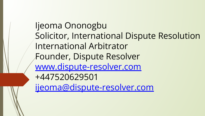Ijeoma Ononogbu Solicitor, International Dispute Resolution International Arbitrator Founder, Dispute Resolver [www.dispute-resolver.com](https://www.google.com/url?q=http://www.dispute-resolver.com/&sa=D&source=editors&ust=1648225104766306&usg=AOvVaw2GpffQccWzZFgIS3k3umum) +447520629501 [ijeoma@dispute-resolver.com](mailto:ijeoma@dispute-resolver.com)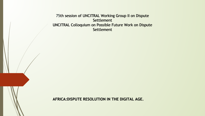75th session of UNCITRAL Working Group II on Dispute 75th session of Settlement UNCITRAL Colloquium on Possible Future Work on Dispute Settlement Settlement<br><sub>In Possible Future Work on Dispute<br>Settlement</sub>

**AFRICA:DISPUTE RESOLUTION IN THE DIGITAL AGE. IN THE DIGITAL AGE.**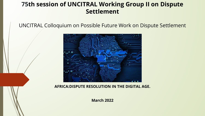#### **75th session of UNCITRAL Working Group II on Dispute Settlement**

UNCITRAL Colloquium on Possible Future Work on Dispute Settlement



**AFRICA:DISPUTE RESOLUTION IN THE DIGITAL AGE.** 

**March 2022**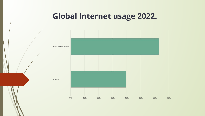#### **Global Internet usage 2022.**

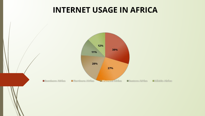#### **INTERNET USAGE IN AFRICA**

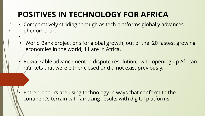## **POSITIVES IN TECHNOLOGY FOR AFRICA**

- Comparatively striding through as tech platforms globally advances phenomenal .
- • World Bank projections for global growth, out of the 20 fastest growing economies in the world, 11 are in Africa.
- Remarkable advancement in dispute resolution, with opening up African markets that were either closed or did not exist previously.

• Entrepreneurs are using technology in ways that conform to the continent's terrain with amazing results with digital platforms.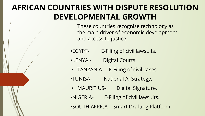### **AFRICAN COUNTRIES WITH DISPUTE RESOLUTION DEVELOPMENTAL GROWTH**

These countries recognise technology as the main driver of economic development and access to justice.

- •EGYPT- E-Filing of civil lawsuits.
- •KENYA Digital Courts.
- TANZANIA- E-Filing of civil cases.
- •TUNISA- National AI Strategy.
- MAURITIUS- Digital Signature.
- •NIGERIA- E-Filing of civil lawsuits.
- •SOUTH AFRICA- Smart Drafting Platform.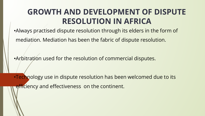#### **GROWTH AND DEVELOPMENT OF DISPUTE RESOLUTION IN AFRICA**

•Always practised dispute resolution through its elders in the form of

mediation. Mediation has been the fabric of dispute resolution.

•Arbitration used for the resolution of commercial disputes.

•Technology use in dispute resolution has been welcomed due to its efficiency and effectiveness on the continent.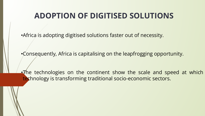#### **ADOPTION OF DIGITISED SOLUTIONS**

•Africa is adopting digitised solutions faster out of necessity.

•Consequently, Africa is capitalising on the leapfrogging opportunity.

•The technologies on the continent show the scale and speed at which technology is transforming traditional socio-economic sectors.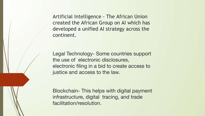Artificial Intelligence - The African Union created the African Group on AI which has developed a unified AI strategy across the continent.

Legal Technology- Some countries support the use of electronic disclosures, electronic filing in a bid to create access to justice and access to the law.

Blockchain- This helps with digital payment infrastructure, digital tracing, and trade facilitation/resolution.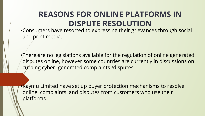#### **REASONS FOR ONLINE PLATFORMS IN DISPUTE RESOLUTION**

•Consumers have resorted to expressing their grievances through social and print media.

•There are no legislations available for the regulation of online generated disputes online, however some countries are currently in discussions on curbing cyber- generated complaints /disputes.

•Kaymu Limited have set up buyer protection mechanisms to resolve online complaints and disputes from customers who use their platforms.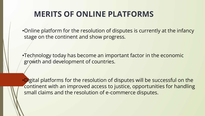### **MERITS OF ONLINE PLATFORMS**

•Online platform for the resolution of disputes is currently at the infancy stage on the continent and show progress.

•Technology today has become an important factor in the economic growth and development of countries.

•Digital platforms for the resolution of disputes will be successful on the continent with an improved access to justice, opportunities for handling small claims and the resolution of e-commerce disputes.